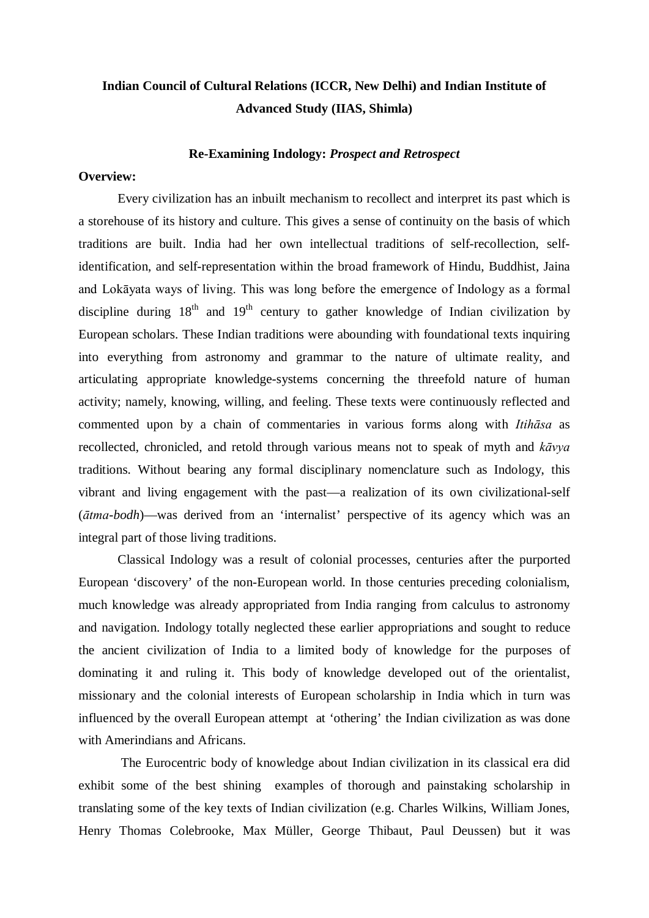## **Indian Council of Cultural Relations (ICCR, New Delhi) and Indian Institute of Advanced Study (IIAS, Shimla)**

## **Re-Examining Indology:** *Prospect and Retrospect*

## **Overview:**

Every civilization has an inbuilt mechanism to recollect and interpret its past which is a storehouse of its history and culture. This gives a sense of continuity on the basis of which traditions are built. India had her own intellectual traditions of self-recollection, selfidentification, and self-representation within the broad framework of Hindu, Buddhist, Jaina and Lokāyata ways of living. This was long before the emergence of Indology as a formal discipline during  $18<sup>th</sup>$  and  $19<sup>th</sup>$  century to gather knowledge of Indian civilization by European scholars. These Indian traditions were abounding with foundational texts inquiring into everything from astronomy and grammar to the nature of ultimate reality, and articulating appropriate knowledge-systems concerning the threefold nature of human activity; namely, knowing, willing, and feeling. These texts were continuously reflected and commented upon by a chain of commentaries in various forms along with *Itihāsa* as recollected, chronicled, and retold through various means not to speak of myth and *kāvya* traditions. Without bearing any formal disciplinary nomenclature such as Indology, this vibrant and living engagement with the past—a realization of its own civilizational-self (*ātma-bodh*)—was derived from an 'internalist' perspective of its agency which was an integral part of those living traditions.

Classical Indology was a result of colonial processes, centuries after the purported European 'discovery' of the non-European world. In those centuries preceding colonialism, much knowledge was already appropriated from India ranging from calculus to astronomy and navigation. Indology totally neglected these earlier appropriations and sought to reduce the ancient civilization of India to a limited body of knowledge for the purposes of dominating it and ruling it. This body of knowledge developed out of the orientalist, missionary and the colonial interests of European scholarship in India which in turn was influenced by the overall European attempt at 'othering' the Indian civilization as was done with Amerindians and Africans.

The Eurocentric body of knowledge about Indian civilization in its classical era did exhibit some of the best shining examples of thorough and painstaking scholarship in translating some of the key texts of Indian civilization (e.g. Charles Wilkins, William Jones, Henry Thomas Colebrooke, Max Müller, George Thibaut, Paul Deussen) but it was